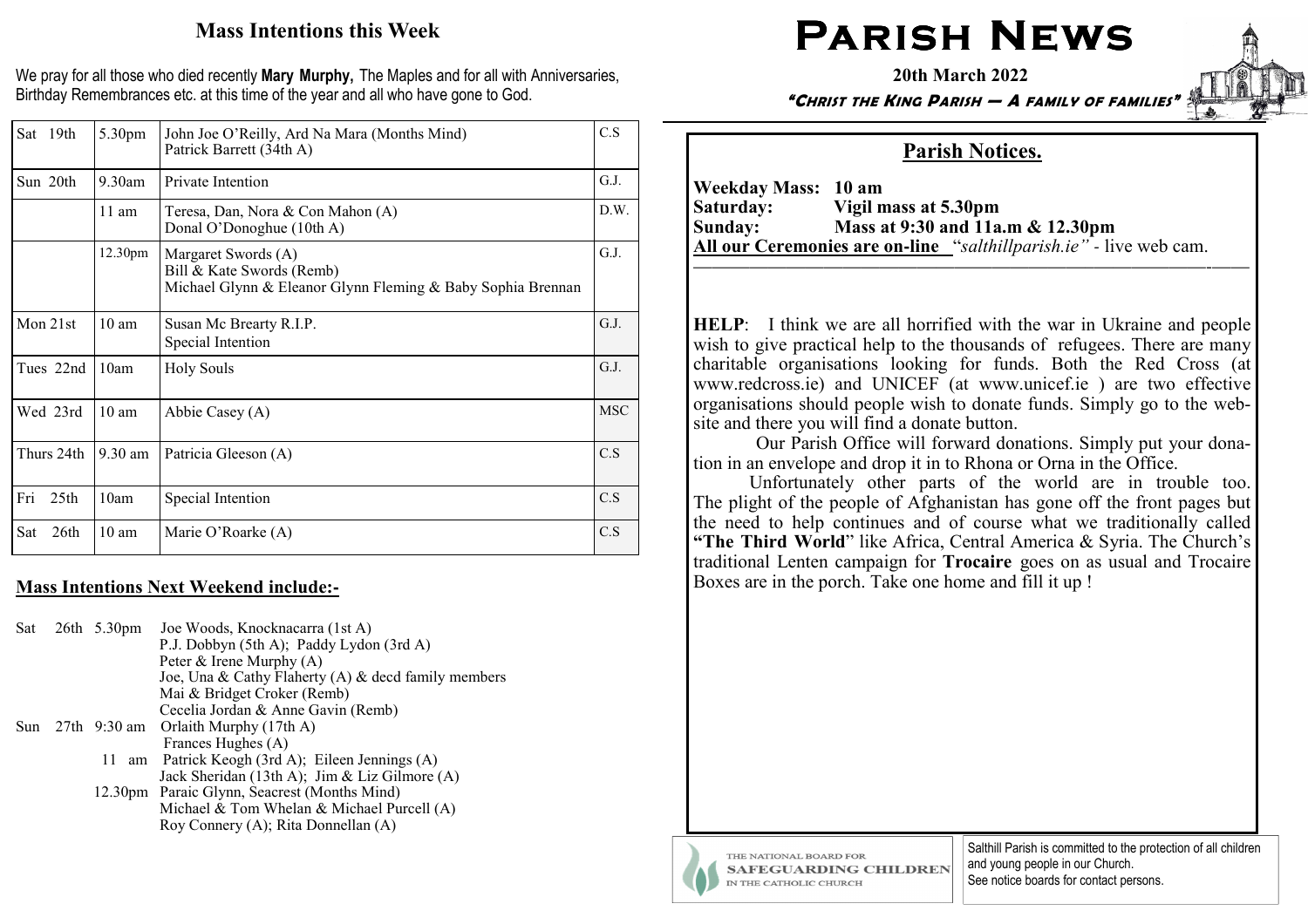# Mass Intentions this Week

We pray for all those who died recently Mary Murphy, The Maples and for all with Anniversaries, Birthday Remembrances etc. at this time of the year and all who have gone to God.

| Sat 19th                | 5.30pm          | John Joe O'Reilly, Ard Na Mara (Months Mind)<br>Patrick Barrett (34th A)                                        | C.S        |
|-------------------------|-----------------|-----------------------------------------------------------------------------------------------------------------|------------|
| Sun 20th                | $9.30$ am       | Private Intention                                                                                               | G.J.       |
|                         | $11$ am         | Teresa, Dan, Nora & Con Mahon (A)<br>Donal O'Donoghue (10th A)                                                  | D.W.       |
|                         | 12.30pm         | Margaret Swords (A)<br>Bill & Kate Swords (Remb)<br>Michael Glynn & Eleanor Glynn Fleming & Baby Sophia Brennan | G.J.       |
| Mon 21st                | $10 \text{ am}$ | Susan Mc Brearty R.I.P.<br>Special Intention                                                                    | G.J.       |
| Tues 22nd               | 10am            | <b>Holy Souls</b>                                                                                               | G.J.       |
| Wed 23rd                | $10 \text{ am}$ | Abbie Casey (A)                                                                                                 | <b>MSC</b> |
| Thurs 24th              | 9.30 am         | Patricia Gleeson (A)                                                                                            | C.S        |
| 25 <sub>th</sub><br>Fri | 10am            | Special Intention                                                                                               | C.S        |
| Sat<br>26th             | $10 \text{ am}$ | Marie O'Roarke (A)                                                                                              | C.S        |

# Mass Intentions Next Weekend include:**-**

| Sat | 26th 5.30pm | Joe Woods, Knocknacarra (1st A)                     |
|-----|-------------|-----------------------------------------------------|
|     |             | P.J. Dobbyn (5th A); Paddy Lydon (3rd A)            |
|     |             | Peter & Irene Murphy (A)                            |
|     |             | Joe, Una & Cathy Flaherty (A) & decd family members |
|     |             | Mai & Bridget Croker (Remb)                         |
|     |             | Cecelia Jordan & Anne Gavin (Remb)                  |
| Sun |             | 27th $9:30$ am Orlaith Murphy (17th A)              |
|     |             | Frances Hughes (A)                                  |
|     | 11          | am Patrick Keogh (3rd A); Eileen Jennings (A)       |
|     |             | Jack Sheridan (13th A); Jim & Liz Gilmore (A)       |
|     |             | 12.30pm Paraic Glynn, Seacrest (Months Mind)        |
|     |             | Michael & Tom Whelan & Michael Purcell (A)          |
|     |             | Roy Connery (A); Rita Donnellan (A)                 |
|     |             |                                                     |

# $\mathsf{PARISH}\ \mathsf{N}\mathsf{EWS}$

20th March 2022

"CHRIST THE KING PARISH — A FAMILY OF FAMILIES"

# Parish Notices.

Weekday Mass: 10 am<br>Saturday: Vigil n Saturday: Vigil mass at 5.30pm Sunday: Mass at 9:30 and 11a.m & 12.30pm All our Ceremonies are on**-**line "salthillparish.ie" *-* live web cam.

HELP: I think we are all horrified with the war in Ukraine and people wish to give practical help to the thousands of refugees. There are many charitable organisations looking for funds. Both the Red Cross (at www.redcross.ie) and UNICEF (at www.unicef.ie ) are two effective organisations should people wish to donate funds. Simply go to the website and there you will find a donate button.

—————————————————————–——————-——

 Our Parish Office will forward donations. Simply put your donation in an envelope and drop it in to Rhona or Orna in the Office.

 Unfortunately other parts of the world are in trouble too. The plight of the people of Afghanistan has gone off the front pages but the need to help continues and of course what we traditionally called "The Third World" like Africa, Central America & Syria. The Church's traditional Lenten campaign for Trocaire goes on as usual and Trocaire Boxes are in the porch. Take one home and fill it up !



THE NATIONAL BOARD FOR **SAFEGUARDING CHILDREN** IN THE CATHOLIC CHURCH

Salthill Parish is committed to the protection of all children and young people in our Church. See notice boards for contact persons.